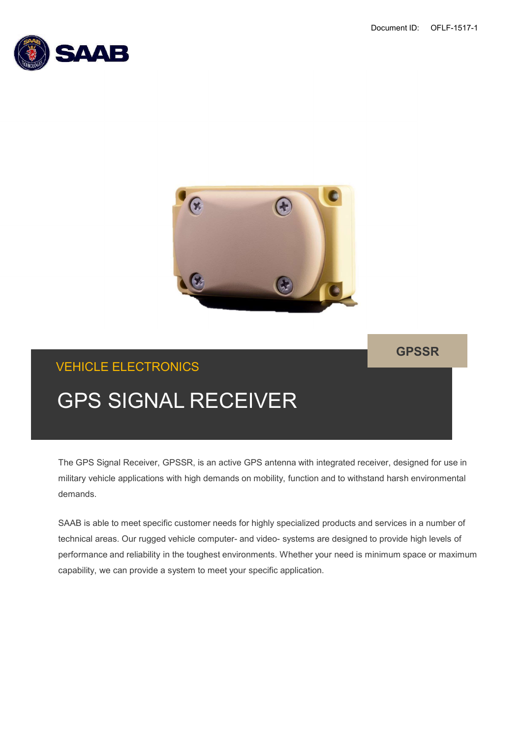



GPSSR

# VEHICLE ELECTRONICS

military vehicle applications with high demands on mobility, function and to withstand harsh environmental demands.

SAAB is able to meet specific customer needs for highly specialized products and services in a number of GPS SIGNAL RECEIVER<br>The GPS Signal Receiver, GPSSR, is an active GPS antenna with integrated receiver, designed for use in<br>military vehicle applications with high demands on mobility, function and to withstand harsh enviro performance and reliability in the toughest environments. Whether your need is minimum space or maximum capability, we can provide a system to meet your specific application.